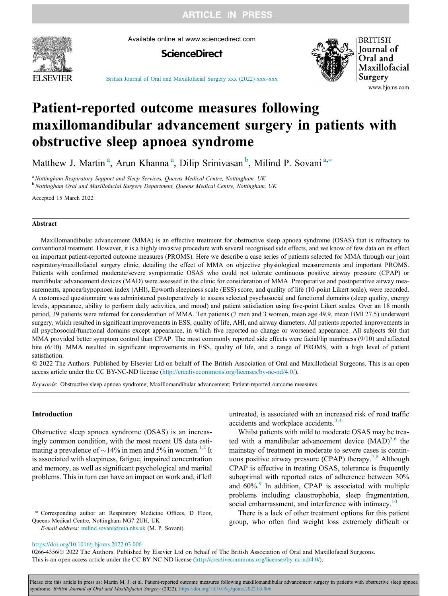**ARTICLE IN PRESS** 



Available online at www.sciencedirect.com





**BRITISH Journal** of Oral and Maxillofacial Surgery www.bjoms.com

[British Journal of Oral and Maxillofacial Surgery xxx \(2022\) xxx](https://doi.org/10.1016/j.bjoms.2022.03.006)–xxx

# Patient-reported outcome measures following maxillomandibular advancement surgery in patients with obstructive sleep apnoea syndrome

Matthew J. Martin<sup>a</sup>, Arun Khanna<sup>a</sup>, Dilip Srinivasan<sup>b</sup>, Milind P. Sovani<sup>a,\*</sup>

<sup>a</sup> Nottingham Respiratory Support and Sleep Services, Queens Medical Centre, Nottingham, UK

<sup>b</sup> Nottingham Oral and Maxillofacial Surgery Department, Queens Medical Centre, Nottingham, UK

Accepted 15 March 2022

#### Abstract

Maxillomandibular advancement (MMA) is an effective treatment for obstructive sleep apnoea syndrome (OSAS) that is refractory to conventional treatment. However, it is a highly invasive procedure with several recognised side effects, and we know of few data on its effect on important patient-reported outcome measures (PROMS). Here we describe a case series of patients selected for MMA through our joint respiratory/maxillofacial surgery clinic, detailing the effect of MMA on objective physiological measurements and important PROMS. Patients with confirmed moderate/severe symptomatic OSAS who could not tolerate continuous positive airway pressure (CPAP) or mandibular advancement devices (MAD) were assessed in the clinic for consideration of MMA. Preoperative and postoperative airway measurements, apnoea/hypopnoea index (AHI), Epworth sleepiness scale (ESS) score, and quality of life (10-point Likert scale), were recorded. A customised questionnaire was administered postoperatively to assess selected psychosocial and functional domains (sleep quality, energy levels, appearance, ability to perform daily activities, and mood) and patient satisfaction using five-point Likert scales. Over an 18 month period, 39 patients were referred for consideration of MMA. Ten patients (7 men and 3 women, mean age 49.9, mean BMI 27.5) underwent surgery, which resulted in significant improvements in ESS, quality of life, AHI, and airway diameters. All patients reported improvements in all psychosocial/functional domains except appearance, in which five reported no change or worsened appearance. All subjects felt that MMA provided better symptom control than CPAP. The most commonly reported side effects were facial/lip numbness (9/10) and affected bite (6/10). MMA resulted in significant improvements in ESS, quality of life, and a range of PROMS, with a high level of patient satisfaction.

 2022 The Authors. Published by Elsevier Ltd on behalf of The British Association of Oral and Maxillofacial Surgeons. This is an open access article under the CC BY-NC-ND license (<http://creativecommons.org/licenses/by-nc-nd/4.0/>).

Keywords: Obstructive sleep apnoea syndrome; Maxillomandibular advancement; Patient-reported outcome measures

## Introduction

Obstructive sleep apnoea syndrome (OSAS) is an increasingly common condition, with the most recent US data estimating a prevalence of  $\sim$ 14% in men and 5% in women.<sup>[1,2](#page-5-0)</sup> It is associated with sleepiness, fatigue, impaired concentration and memory, as well as significant psychological and marital problems. This in turn can have an impact on work and, if left

Corresponding author at: Respiratory Medicine Offices, D Floor, Queens Medical Centre, Nottingham NG7 2UH, UK

E-mail address: [milind.sovani@nuh.nhs.uk](mailto:milind.sovani@nuh.nhs.uk) (M. P. Sovani).

untreated, is associated with an increased risk of road traffic accidents and workplace accidents. $3,4$ 

Whilst patients with mild to moderate OSAS may be treated with a mandibular advancement device  $(MAD)^{5,6}$  $(MAD)^{5,6}$  $(MAD)^{5,6}$  the mainstay of treatment in moderate to severe cases is contin-uous positive airway pressure (CPAP) therapy.<sup>[7,8](#page-5-0)</sup> Although CPAP is effective in treating OSAS, tolerance is frequently suboptimal with reported rates of adherence between 30% and  $60\%$ . In addition, CPAP is associated with multiple problems including claustrophobia, sleep fragmentation, social embarrassment, and interference with intimacy.<sup>[10](#page-5-0)</sup>

There is a lack of other treatment options for this patient group, who often find weight loss extremely difficult or

<https://doi.org/10.1016/j.bjoms.2022.03.006>

0266-4356/© 2022 The Authors. Published by Elsevier Ltd on behalf of The British Association of Oral and Maxillofacial Surgeons. This is an open access article under the CC BY-NC-ND license (<http://creativecommons.org/licenses/by-nc-nd/4.0/>).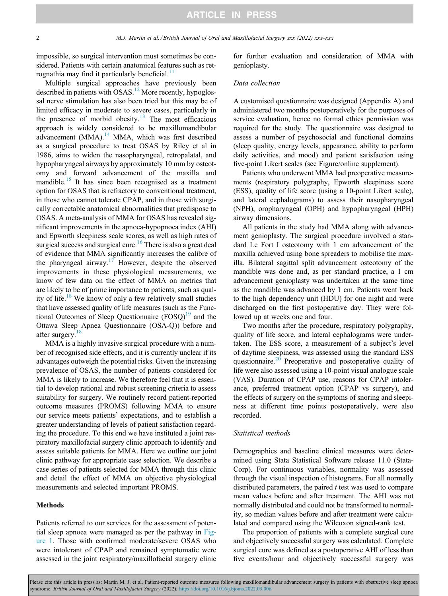impossible, so surgical intervention must sometimes be considered. Patients with certain anatomical features such as retrognathia may find it particularly beneficial. $\frac{11}{11}$  $\frac{11}{11}$  $\frac{11}{11}$ 

Multiple surgical approaches have previously been described in patients with OSAS.<sup>[12](#page-5-0)</sup> More recently, hypoglossal nerve stimulation has also been tried but this may be of limited efficacy in moderate to severe cases, particularly in the presence of morbid obesity.<sup>[13](#page-5-0)</sup> The most efficacious approach is widely considered to be maxillomandibular advancement  $(MMA)$ .<sup>[14](#page-5-0)</sup> MMA, which was first described as a surgical procedure to treat OSAS by Riley et al in 1986, aims to widen the nasopharyngeal, retropalatal, and hypopharyngeal airways by approximately 10 mm by osteotomy and forward advancement of the maxilla and mandible.<sup>15</sup> It has since been recognised as a treatment option for OSAS that is refractory to conventional treatment, in those who cannot tolerate CPAP, and in those with surgically correctable anatomical abnormalities that predispose to OSAS. A meta-analysis of MMA for OSAS has revealed significant improvements in the apnoea-hypopnoea index (AHI) and Epworth sleepiness scale scores, as well as high rates of surgical success and surgical cure.<sup>[16](#page-5-0)</sup> There is also a great deal of evidence that MMA significantly increases the calibre of the pharyngeal airway.<sup>[17](#page-5-0)</sup> However, despite the observed improvements in these physiological measurements, we know of few data on the effect of MMA on metrics that are likely to be of prime importance to patients, such as qual-ity of life.<sup>[18](#page-5-0)</sup> We know of only a few relatively small studies that have assessed quality of life measures (such as the Functional Outcomes of Sleep Questionnaire  $(FOSQ)^{19}$  $(FOSQ)^{19}$  $(FOSQ)^{19}$  and the Ottawa Sleep Apnea Questionnaire (OSA-Q)) before and after surgery.<sup>[18](#page-5-0)</sup>

MMA is a highly invasive surgical procedure with a number of recognised side effects, and it is currently unclear if its advantages outweigh the potential risks. Given the increasing prevalence of OSAS, the number of patients considered for MMA is likely to increase. We therefore feel that it is essential to develop rational and robust screening criteria to assess suitability for surgery. We routinely record patient-reported outcome measures (PROMS) following MMA to ensure our service meets patients' expectations, and to establish a greater understanding of levels of patient satisfaction regarding the procedure. To this end we have instituted a joint respiratory maxillofacial surgery clinic approach to identify and assess suitable patients for MMA. Here we outline our joint clinic pathway for appropriate case selection. We describe a case series of patients selected for MMA through this clinic and detail the effect of MMA on objective physiological measurements and selected important PROMS.

## Methods

Patients referred to our services for the assessment of potential sleep apnoea were managed as per the pathway in [Fig](#page-2-0)[ure 1](#page-2-0). Those with confirmed moderate/severe OSAS who were intolerant of CPAP and remained symptomatic were assessed in the joint respiratory/maxillofacial surgery clinic

for further evaluation and consideration of MMA with genioplasty.

#### Data collection

A customised questionnaire was designed (Appendix A) and administered two months postoperatively for the purposes of service evaluation, hence no formal ethics permission was required for the study. The questionnaire was designed to assess a number of psychosocial and functional domains (sleep quality, energy levels, appearance, ability to perform daily activities, and mood) and patient satisfaction using five-point Likert scales (see Figure/online supplement).

Patients who underwent MMA had preoperative measurements (respiratory polygraphy, Epworth sleepiness score (ESS), quality of life score (using a 10-point Likert scale), and lateral cephalograms) to assess their nasopharyngeal (NPH), oropharyngeal (OPH) and hypopharyngeal (HPH) airway dimensions.

All patients in the study had MMA along with advancement genioplasty. The surgical procedure involved a standard Le Fort I osteotomy with 1 cm advancement of the maxilla achieved using bone spreaders to mobilise the maxilla. Bilateral sagittal split advancement osteotomy of the mandible was done and, as per standard practice, a 1 cm advancement genioplasty was undertaken at the same time as the mandible was advanced by 1 cm. Patients went back to the high dependency unit (HDU) for one night and were discharged on the first postoperative day. They were followed up at weeks one and four.

Two months after the procedure, respiratory polygraphy, quality of life score, and lateral cephalograms were undertaken. The ESS score, a measurement of a subject's level of daytime sleepiness, was assessed using the standard ESS questionnaire.<sup>[20](#page-5-0)</sup> Preoperative and postoperative quality of life were also assessed using a 10-point visual analogue scale (VAS). Duration of CPAP use, reasons for CPAP intolerance, preferred treatment option (CPAP vs surgery), and the effects of surgery on the symptoms of snoring and sleepiness at different time points postoperatively, were also recorded.

#### Statistical methods

Demographics and baseline clinical measures were determined using Stata Statistical Software release 11.0 (Stata-Corp). For continuous variables, normality was assessed through the visual inspection of histograms. For all normally distributed parameters, the paired  $t$  test was used to compare mean values before and after treatment. The AHI was not normally distributed and could not be transformed to normality, so median values before and after treatment were calculated and compared using the Wilcoxon signed-rank test.

The proportion of patients with a complete surgical cure and objectively successful surgery was calculated. Complete surgical cure was defined as a postoperative AHI of less than five events/hour and objectively successful surgery was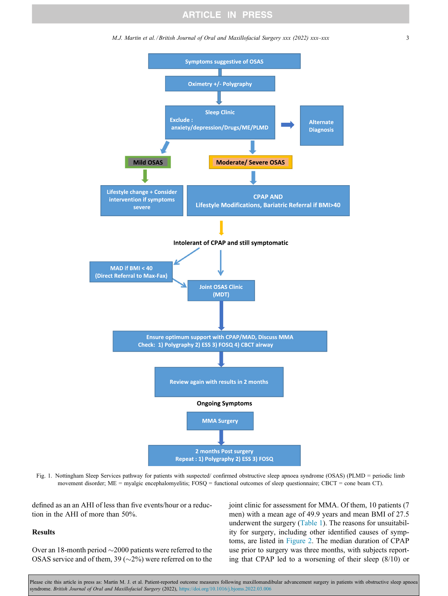M.J. Martin et al. / British Journal of Oral and Maxillofacial Surgery xxx (2022) xxx–xxx 3

<span id="page-2-0"></span>

Fig. 1. Nottingham Sleep Services pathway for patients with suspected/ confirmed obstructive sleep apnoea syndrome (OSAS) (PLMD = periodic limb movement disorder; ME = myalgic encephalomyelitis; FOSQ = functional outcomes of sleep questionnaire; CBCT = cone beam CT).

defined as an an AHI of less than five events/hour or a reduction in the AHI of more than 50%.

## Results

Over an 18-month period  $\sim$ 2000 patients were referred to the OSAS service and of them, 39 ( $\sim$ 2%) were referred on to the joint clinic for assessment for MMA. Of them, 10 patients (7 men) with a mean age of 49.9 years and mean BMI of 27.5 underwent the surgery [\(Table 1](#page-3-0)). The reasons for unsuitability for surgery, including other identified causes of symptoms, are listed in [Figure 2.](#page-3-0) The median duration of CPAP use prior to surgery was three months, with subjects reporting that CPAP led to a worsening of their sleep (8/10) or

Please cite this article in press as: Martin M. J. et al. Patient-reported outcome measures following maxillomandibular advancement surgery in patients with obstructive sleep apnoea syndrome. British Journal of Oral and Maxillofacial Surgery (2022), <https://doi.org/10.1016/j.bjoms.2022.03.006>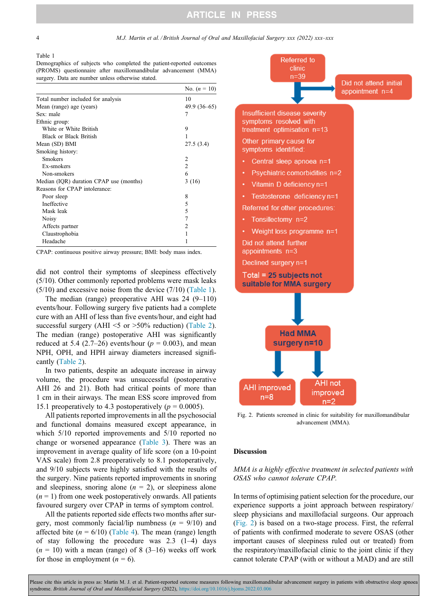Table 1

<span id="page-3-0"></span>4 M.J. Martin et al. / British Journal of Oral and Maxillofacial Surgery xxx (2022) xxx–xxx

Demographics of subjects who completed the patient-reported outcomes (PROMS) questionnaire after maxillomandibular advancement (MMA) surgery. Data are number unless otherwise stated.

|                                         | No. $(n = 10)$ |
|-----------------------------------------|----------------|
| Total number included for analysis      | 10             |
| Mean (range) age (years)                | $49.9(36-65)$  |
| Sex: male                               | 7              |
| Ethnic group:                           |                |
| White or White British                  | 9              |
| <b>Black or Black British</b>           | 1              |
| Mean (SD) BMI                           | 27.5 (3.4)     |
| Smoking history:                        |                |
| <b>Smokers</b>                          | 2              |
| Ex-smokers                              | $\overline{c}$ |
| Non-smokers                             | 6              |
| Median (IQR) duration CPAP use (months) | 3(16)          |
| Reasons for CPAP intolerance:           |                |
| Poor sleep                              | 8              |
| Ineffective                             | 5              |
| Mask leak                               | 5              |
| Noisy                                   | 7              |
| Affects partner                         | $\overline{c}$ |
| Claustrophobia                          |                |
| Headache                                |                |

CPAP: continuous positive airway pressure; BMI: body mass index.

did not control their symptoms of sleepiness effectively (5/10). Other commonly reported problems were mask leaks (5/10) and excessive noise from the device (7/10) (Table 1).

The median (range) preoperative AHI was 24 (9–110) events/hour. Following surgery five patients had a complete cure with an AHI of less than five events/hour, and eight had successful surgery (AHI  $\leq$  or  $>$ 50% reduction) ([Table 2\)](#page-4-0). The median (range) postoperative AHI was significantly reduced at 5.4 (2.7–26) events/hour ( $p = 0.003$ ), and mean NPH, OPH, and HPH airway diameters increased significantly ([Table 2\)](#page-4-0).

In two patients, despite an adequate increase in airway volume, the procedure was unsuccessful (postoperative AHI 26 and 21). Both had critical points of more than 1 cm in their airways. The mean ESS score improved from 15.1 preoperatively to 4.3 postoperatively ( $p = 0.0005$ ).

All patients reported improvements in all the psychosocial and functional domains measured except appearance, in which 5/10 reported improvements and 5/10 reported no change or worsened appearance [\(Table 3](#page-4-0)). There was an improvement in average quality of life score (on a 10-point VAS scale) from 2.8 preoperatively to 8.1 postoperatively, and 9/10 subjects were highly satisfied with the results of the surgery. Nine patients reported improvements in snoring and sleepiness, snoring alone  $(n = 2)$ , or sleepiness alone  $(n = 1)$  from one week postoperatively onwards. All patients favoured surgery over CPAP in terms of symptom control.

All the patients reported side effects two months after surgery, most commonly facial/lip numbness  $(n = 9/10)$  and affected bite ( $n = 6/10$ ) ([Table 4](#page-4-0)). The mean (range) length of stay following the procedure was 2.3 (1–4) days  $(n = 10)$  with a mean (range) of 8 (3–16) weeks off work for those in employment  $(n = 6)$ .



Fig. 2. Patients screened in clinic for suitability for maxillomandibular advancement (MMA).

#### Discussion

## MMA is a highly effective treatment in selected patients with OSAS who cannot tolerate CPAP.

In terms of optimising patient selection for the procedure, our experience supports a joint approach between respiratory/ sleep physicians and maxillofacial surgeons. Our approach (Fig. 2) is based on a two-stage process. First, the referral of patients with confirmed moderate to severe OSAS (other important causes of sleepiness ruled out or treated) from the respiratory/maxillofacial clinic to the joint clinic if they cannot tolerate CPAP (with or without a MAD) and are still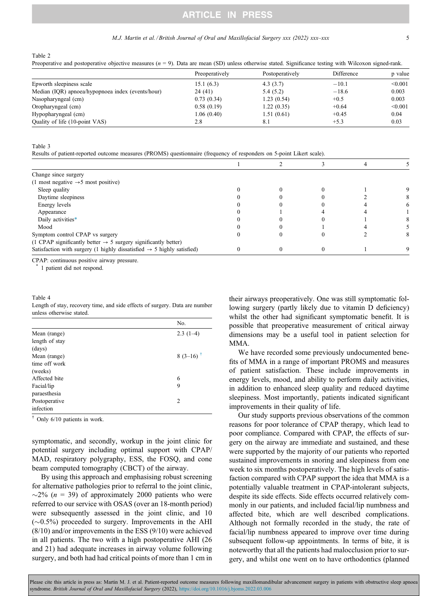## **ARTICLE IN PRESS**

#### M.J. Martin et al. / British Journal of Oral and Maxillofacial Surgery xxx (2022) xxx–xxx 5

<span id="page-4-0"></span>Table 2

Preoperative and postoperative objective measures ( $n = 9$ ). Data are mean (SD) unless otherwise stated. Significance testing with Wilcoxon signed-rank.

|                                                   | Preoperatively | Postoperatively | Difference | p value |
|---------------------------------------------------|----------------|-----------------|------------|---------|
| Epworth sleepiness scale                          | 15.1(6.3)      | 4.3(3.7)        | $-10.1$    | < 0.001 |
| Median (IQR) apnoea/hypopnoea index (events/hour) | 24 (41)        | 5.4(5.2)        | $-18.6$    | 0.003   |
| Nasopharyngeal (cm)                               | 0.73(0.34)     | 1.23(0.54)      | $+0.5$     | 0.003   |
| Oropharyngeal (cm)                                | 0.58(0.19)     | 1.22(0.35)      | $+0.64$    | < 0.001 |
| Hypopharyngeal (cm)                               | 1.06 (0.40)    | 1.51(0.61)      | $+0.45$    | 0.04    |
| Quality of life (10-point VAS)                    | 2.8            | 8.1             | $+5.3$     | 0.03    |

Table 3

Results of patient-reported outcome measures (PROMS) questionnaire (frequency of responders on 5-point Likert scale).

| Change since surgery                                                               |  |  |  |
|------------------------------------------------------------------------------------|--|--|--|
| (1 most negative $\rightarrow$ 5 most positive)                                    |  |  |  |
| Sleep quality                                                                      |  |  |  |
| Daytime sleepiness                                                                 |  |  |  |
| Energy levels                                                                      |  |  |  |
| Appearance                                                                         |  |  |  |
| Daily activities*                                                                  |  |  |  |
| Mood                                                                               |  |  |  |
| Symptom control CPAP vs surgery                                                    |  |  |  |
| (1 CPAP significantly better $\rightarrow$ 5 surgery significantly better)         |  |  |  |
| Satisfaction with surgery (1 highly dissatisfied $\rightarrow$ 5 highly satisfied) |  |  |  |

CPAP: continuous positive airway pressure.

1 patient did not respond.

Table 4 Length of stay, recovery time, and side effects of surgery. Data are number unless otherwise stated.

|                | No.                    |
|----------------|------------------------|
| Mean (range)   | $2.3(1-4)$             |
| length of stay |                        |
| (days)         |                        |
| Mean (range)   | $8(3-16)$ <sup>†</sup> |
| time off work  |                        |
| (weeks)        |                        |
| Affected bite  | 6                      |
| Facial/lip     | 9                      |
| paraesthesia   |                        |
| Postoperative  | $\overline{c}$         |
| infection      |                        |

† Only 6/10 patients in work.

symptomatic, and secondly, workup in the joint clinic for potential surgery including optimal support with CPAP/ MAD, respiratory polygraphy, ESS, the FOSQ, and cone beam computed tomography (CBCT) of the airway.

By using this approach and emphasising robust screening for alternative pathologies prior to referral to the joint clinic,  $\sim$ 2% (n = 39) of approximately 2000 patients who were referred to our service with OSAS (over an 18-month period) were subsequently assessed in the joint clinic, and 10  $(\sim 0.5\%)$  proceeded to surgery. Improvements in the AHI (8/10) and/or improvements in the ESS (9/10) were achieved in all patients. The two with a high postoperative AHI (26 and 21) had adequate increases in airway volume following surgery, and both had had critical points of more than 1 cm in

their airways preoperatively. One was still symptomatic following surgery (partly likely due to vitamin D deficiency) whilst the other had significant symptomatic benefit. It is possible that preoperative measurement of critical airway dimensions may be a useful tool in patient selection for MMA.

We have recorded some previously undocumented benefits of MMA in a range of important PROMS and measures of patient satisfaction. These include improvements in energy levels, mood, and ability to perform daily activities, in addition to enhanced sleep quality and reduced daytime sleepiness. Most importantly, patients indicated significant improvements in their quality of life.

Our study supports previous observations of the common reasons for poor tolerance of CPAP therapy, which lead to poor compliance. Compared with CPAP, the effects of surgery on the airway are immediate and sustained, and these were supported by the majority of our patients who reported sustained improvements in snoring and sleepiness from one week to six months postoperatively. The high levels of satisfaction compared with CPAP support the idea that MMA is a potentially valuable treatment in CPAP-intolerant subjects, despite its side effects. Side effects occurred relatively commonly in our patients, and included facial/lip numbness and affected bite, which are well described complications. Although not formally recorded in the study, the rate of facial/lip numbness appeared to improve over time during subsequent follow-up appointments. In terms of bite, it is noteworthy that all the patients had malocclusion prior to surgery, and whilst one went on to have orthodontics (planned